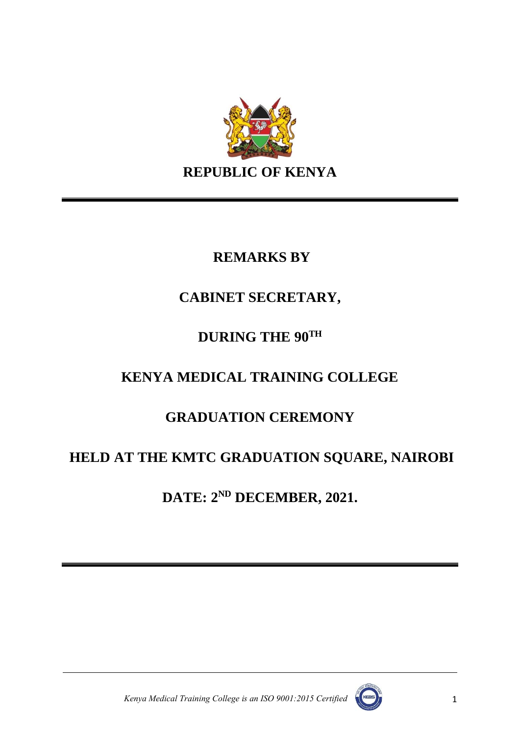

### **REMARKS BY**

### **CABINET SECRETARY,**

# **DURING THE 90TH**

# **KENYA MEDICAL TRAINING COLLEGE**

# **GRADUATION CEREMONY**

# **HELD AT THE KMTC GRADUATION SQUARE, NAIROBI**

**DATE: 2 ND DECEMBER, 2021.**



*Kenya Medical Training College is an ISO 9001:2015 Certified* (1986)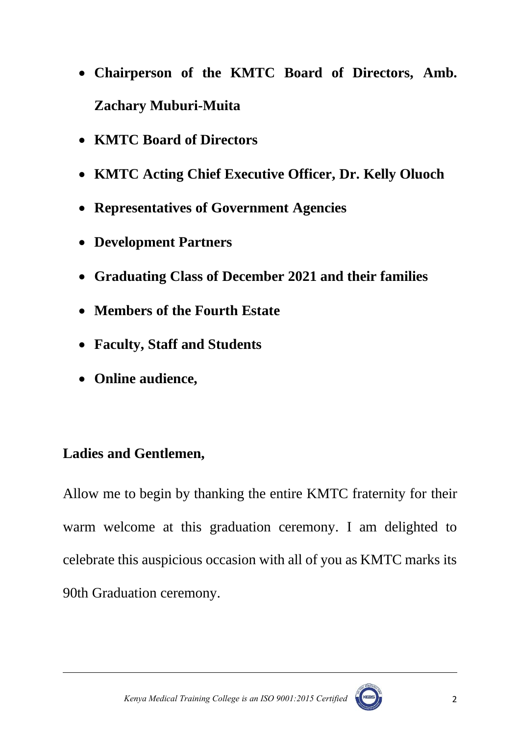- **Chairperson of the KMTC Board of Directors, Amb. Zachary Muburi-Muita**
- **KMTC Board of Directors**
- **KMTC Acting Chief Executive Officer, Dr. Kelly Oluoch**
- **Representatives of Government Agencies**
- **Development Partners**
- **Graduating Class of December 2021 and their families**
- **Members of the Fourth Estate**
- **Faculty, Staff and Students**
- **Online audience,**

### **Ladies and Gentlemen,**

Allow me to begin by thanking the entire KMTC fraternity for their warm welcome at this graduation ceremony. I am delighted to celebrate this auspicious occasion with all of you as KMTC marks its 90th Graduation ceremony.



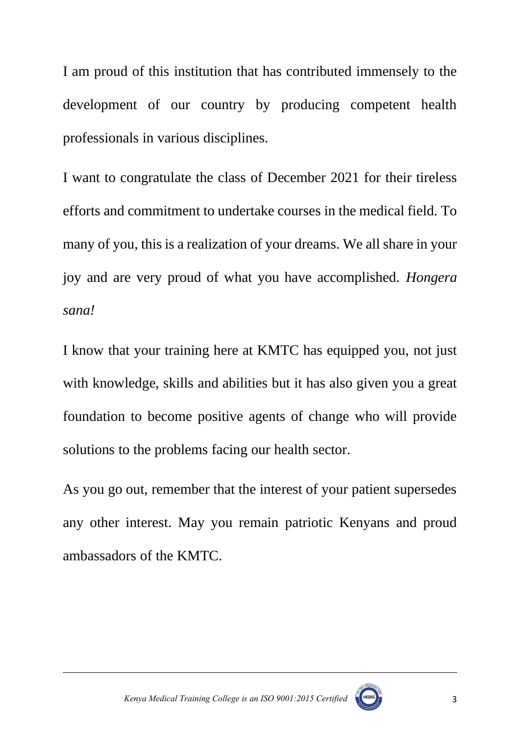I am proud of this institution that has contributed immensely to the development of our country by producing competent health professionals in various disciplines.

I want to congratulate the class of December 2021 for their tireless efforts and commitment to undertake courses in the medical field. To many of you, this is a realization of your dreams. We all share in your joy and are very proud of what you have accomplished. *Hongera sana!* 

I know that your training here at KMTC has equipped you, not just with knowledge, skills and abilities but it has also given you a great foundation to become positive agents of change who will provide solutions to the problems facing our health sector.

As you go out, remember that the interest of your patient supersedes any other interest. May you remain patriotic Kenyans and proud ambassadors of the KMTC.



 *Kenya Medical Training College is an ISO 9001:2015 Certified* 3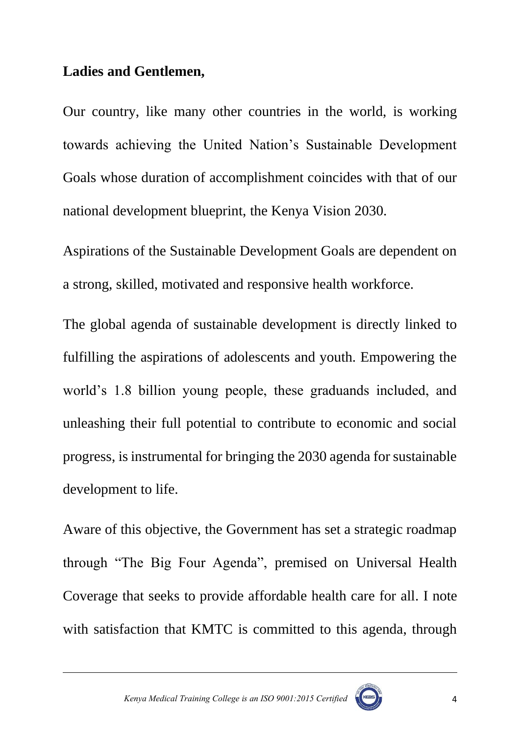#### **Ladies and Gentlemen,**

Our country, like many other countries in the world, is working towards achieving the United Nation's Sustainable Development Goals whose duration of accomplishment coincides with that of our national development blueprint, the Kenya Vision 2030.

Aspirations of the Sustainable Development Goals are dependent on a strong, skilled, motivated and responsive health workforce.

The global agenda of sustainable development is directly linked to fulfilling the aspirations of adolescents and youth. Empowering the world's 1.8 billion young people, these graduands included, and unleashing their full potential to contribute to economic and social progress, is instrumental for bringing the 2030 agenda for sustainable development to life.

Aware of this objective, the Government has set a strategic roadmap through "The Big Four Agenda", premised on Universal Health Coverage that seeks to provide affordable health care for all. I note with satisfaction that KMTC is committed to this agenda, through

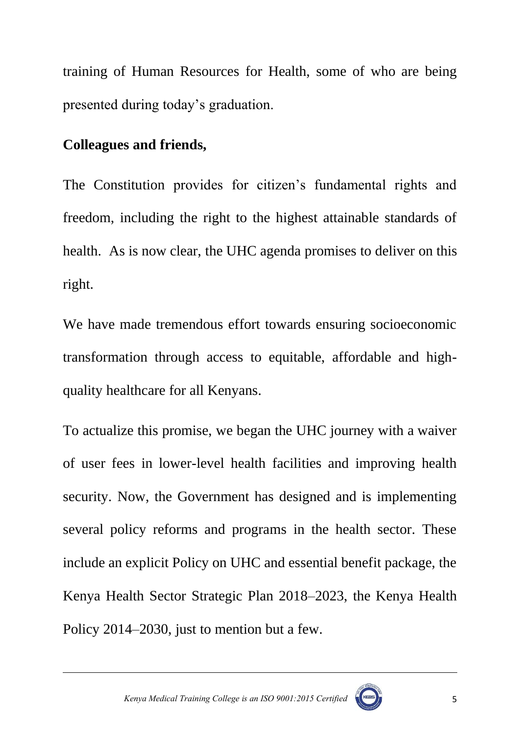training of Human Resources for Health, some of who are being presented during today's graduation.

#### **Colleagues and friends,**

The Constitution provides for citizen's fundamental rights and freedom, including the right to the highest attainable standards of health. As is now clear, the UHC agenda promises to deliver on this right.

We have made tremendous effort towards ensuring socioeconomic transformation through access to equitable, affordable and highquality healthcare for all Kenyans.

To actualize this promise, we began the UHC journey with a waiver of user fees in lower-level health facilities and improving health security. Now, the Government has designed and is implementing several policy reforms and programs in the health sector. These include an explicit Policy on UHC and essential benefit package, the Kenya Health Sector Strategic Plan 2018–2023, the Kenya Health Policy 2014–2030, just to mention but a few.

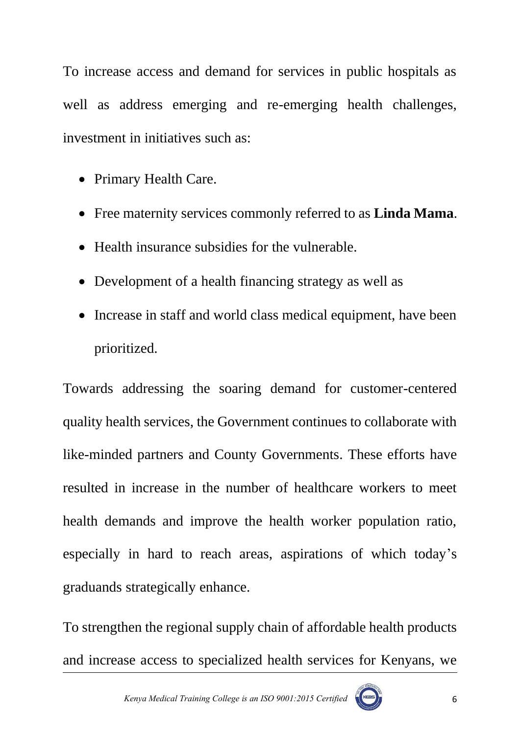To increase access and demand for services in public hospitals as well as address emerging and re-emerging health challenges, investment in initiatives such as:

- Primary Health Care.
- Free maternity services commonly referred to as **Linda Mama**.
- Health insurance subsidies for the vulnerable.
- Development of a health financing strategy as well as
- Increase in staff and world class medical equipment, have been prioritized.

Towards addressing the soaring demand for customer-centered quality health services, the Government continues to collaborate with like-minded partners and County Governments. These efforts have resulted in increase in the number of healthcare workers to meet health demands and improve the health worker population ratio, especially in hard to reach areas, aspirations of which today's graduands strategically enhance.

To strengthen the regional supply chain of affordable health products and increase access to specialized health services for Kenyans, we

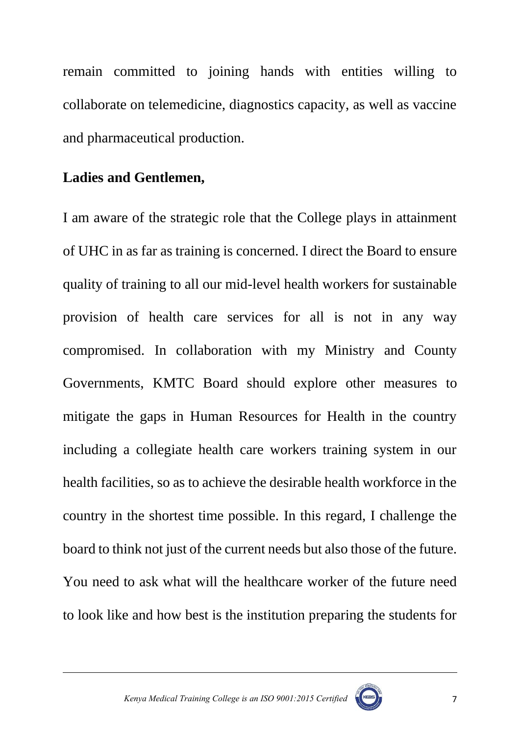remain committed to joining hands with entities willing to collaborate on telemedicine, diagnostics capacity, as well as vaccine and pharmaceutical production.

#### **Ladies and Gentlemen,**

I am aware of the strategic role that the College plays in attainment of UHC in as far as training is concerned. I direct the Board to ensure quality of training to all our mid-level health workers for sustainable provision of health care services for all is not in any way compromised. In collaboration with my Ministry and County Governments, KMTC Board should explore other measures to mitigate the gaps in Human Resources for Health in the country including a collegiate health care workers training system in our health facilities, so as to achieve the desirable health workforce in the country in the shortest time possible. In this regard, I challenge the board to think not just of the current needs but also those of the future. You need to ask what will the healthcare worker of the future need to look like and how best is the institution preparing the students for



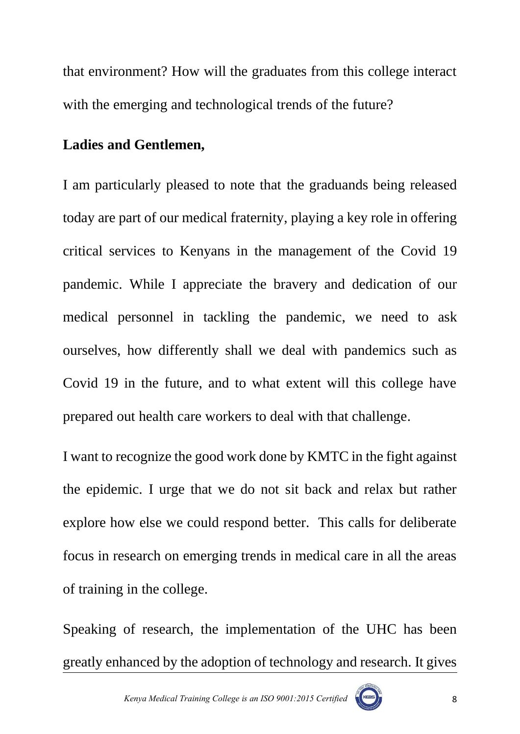that environment? How will the graduates from this college interact with the emerging and technological trends of the future?

#### **Ladies and Gentlemen,**

I am particularly pleased to note that the graduands being released today are part of our medical fraternity, playing a key role in offering critical services to Kenyans in the management of the Covid 19 pandemic. While I appreciate the bravery and dedication of our medical personnel in tackling the pandemic, we need to ask ourselves, how differently shall we deal with pandemics such as Covid 19 in the future, and to what extent will this college have prepared out health care workers to deal with that challenge.

I want to recognize the good work done by KMTC in the fight against the epidemic. I urge that we do not sit back and relax but rather explore how else we could respond better. This calls for deliberate focus in research on emerging trends in medical care in all the areas of training in the college.

Speaking of research, the implementation of the UHC has been greatly enhanced by the adoption of technology and research. It gives

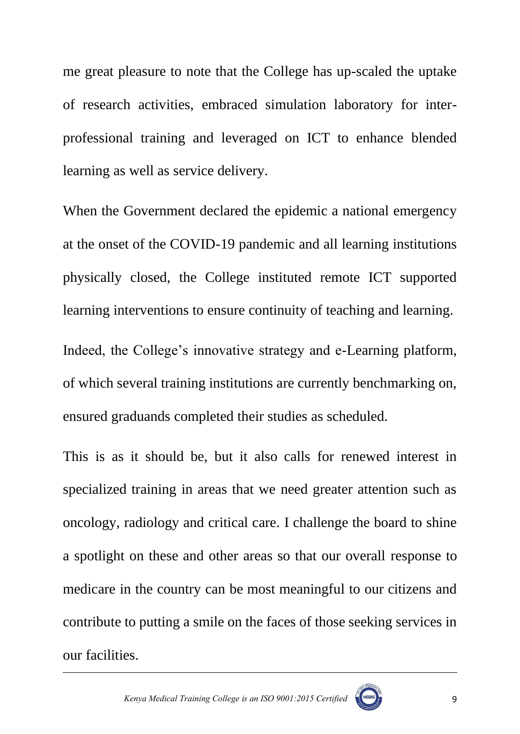me great pleasure to note that the College has up-scaled the uptake of research activities, embraced simulation laboratory for interprofessional training and leveraged on ICT to enhance blended learning as well as service delivery.

When the Government declared the epidemic a national emergency at the onset of the COVID-19 pandemic and all learning institutions physically closed, the College instituted remote ICT supported learning interventions to ensure continuity of teaching and learning.

Indeed, the College's innovative strategy and e-Learning platform, of which several training institutions are currently benchmarking on, ensured graduands completed their studies as scheduled.

This is as it should be, but it also calls for renewed interest in specialized training in areas that we need greater attention such as oncology, radiology and critical care. I challenge the board to shine a spotlight on these and other areas so that our overall response to medicare in the country can be most meaningful to our citizens and contribute to putting a smile on the faces of those seeking services in our facilities.



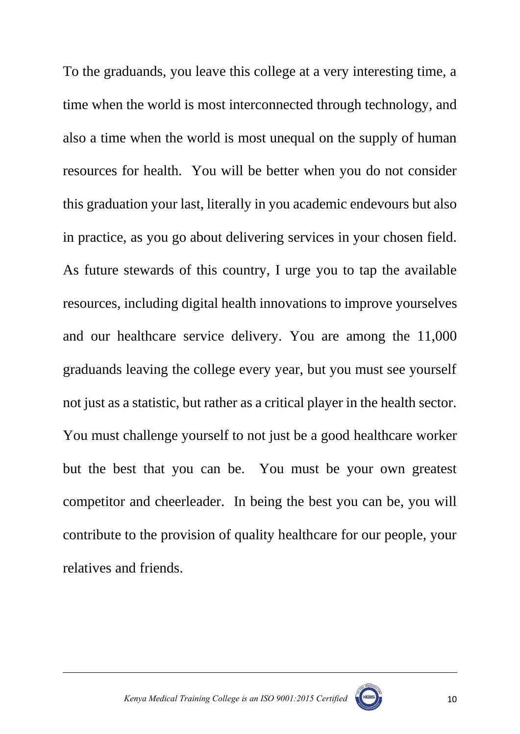To the graduands, you leave this college at a very interesting time, a time when the world is most interconnected through technology, and also a time when the world is most unequal on the supply of human resources for health. You will be better when you do not consider this graduation your last, literally in you academic endevours but also in practice, as you go about delivering services in your chosen field. As future stewards of this country, I urge you to tap the available resources, including digital health innovations to improve yourselves and our healthcare service delivery. You are among the 11,000 graduands leaving the college every year, but you must see yourself not just as a statistic, but rather as a critical player in the health sector. You must challenge yourself to not just be a good healthcare worker but the best that you can be. You must be your own greatest competitor and cheerleader. In being the best you can be, you will contribute to the provision of quality healthcare for our people, your relatives and friends.

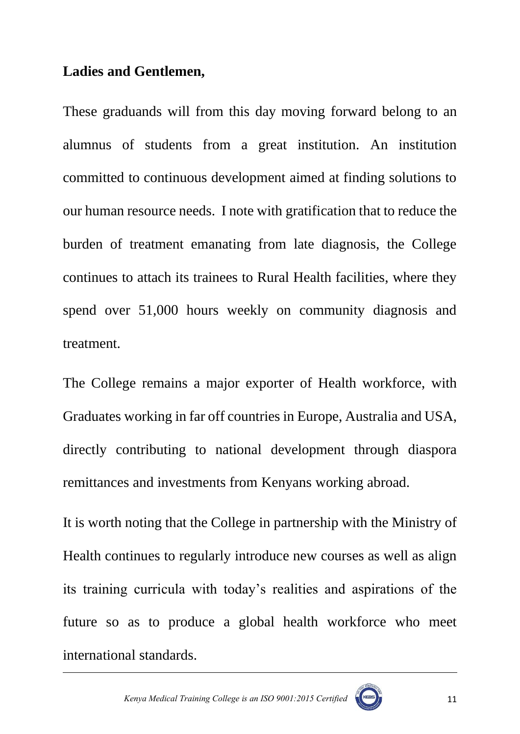#### **Ladies and Gentlemen,**

These graduands will from this day moving forward belong to an alumnus of students from a great institution. An institution committed to continuous development aimed at finding solutions to our human resource needs. I note with gratification that to reduce the burden of treatment emanating from late diagnosis, the College continues to attach its trainees to Rural Health facilities, where they spend over 51,000 hours weekly on community diagnosis and treatment.

The College remains a major exporter of Health workforce, with Graduates working in far off countries in Europe, Australia and USA, directly contributing to national development through diaspora remittances and investments from Kenyans working abroad.

It is worth noting that the College in partnership with the Ministry of Health continues to regularly introduce new courses as well as align its training curricula with today's realities and aspirations of the future so as to produce a global health workforce who meet international standards.



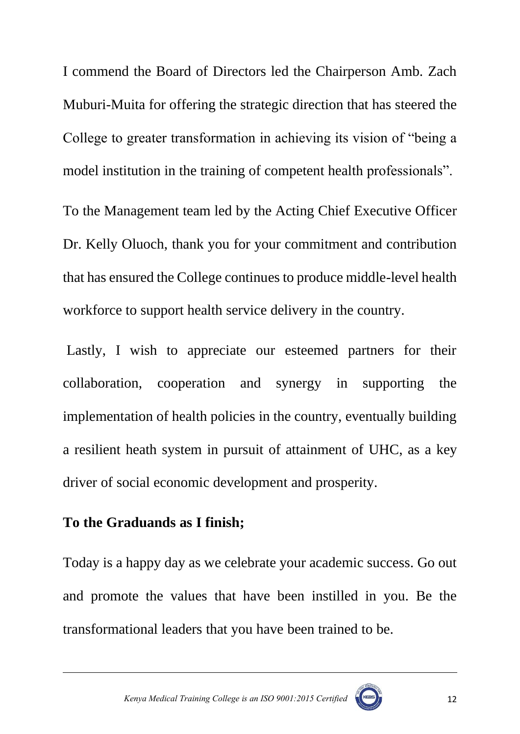I commend the Board of Directors led the Chairperson Amb. Zach Muburi-Muita for offering the strategic direction that has steered the College to greater transformation in achieving its vision of "being a model institution in the training of competent health professionals".

To the Management team led by the Acting Chief Executive Officer Dr. Kelly Oluoch, thank you for your commitment and contribution that has ensured the College continues to produce middle-level health workforce to support health service delivery in the country.

Lastly, I wish to appreciate our esteemed partners for their collaboration, cooperation and synergy in supporting the implementation of health policies in the country, eventually building a resilient heath system in pursuit of attainment of UHC, as a key driver of social economic development and prosperity.

#### **To the Graduands as I finish;**

Today is a happy day as we celebrate your academic success. Go out and promote the values that have been instilled in you. Be the transformational leaders that you have been trained to be.